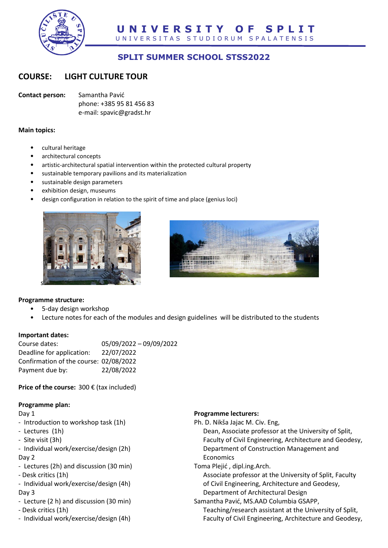

# **SPLIT SUMMER SCHOOL STSS2022**

## **COURSE: LIGHT CULTURE TOUR**

**Contact person:** Samantha Pavić phone: +385 95 81 456 83 e-mail: spavic@gradst.hr

#### **Main topics:**

- cultural heritage
- architectural concepts
- artistic-architectural spatial intervention within the protected cultural property
- sustainable temporary pavilions and its materialization
- sustainable design parameters
- exhibition design, museums
- design configuration in relation to the spirit of time and place (genius loci)





## **Programme structure:**

- 5-day design workshop
- Lecture notes for each of the modules and design guidelines will be distributed to the students

### **Important dates:**

| Course dates:                          | 05/09/2022 - 09/09/2022 |
|----------------------------------------|-------------------------|
| Deadline for application:              | 22/07/2022              |
| Confirmation of the course: 02/08/2022 |                         |
| Payment due by:                        | 22/08/2022              |

**Price of the course:** 300 € (tax included)

## **Programme plan:**

Day 1

- Introduction to workshop task (1h)
- Lectures (1h)
- Site visit (3h)
- Individual work/exercise/design (2h) Day 2
- Lectures (2h) and discussion (30 min)
- Desk critics (1h)
- Individual work/exercise/design (4h) Day 3
- Lecture (2 h) and discussion (30 min) - Desk critics (1h)
- Individual work/exercise/design (4h)

### **Programme lecturers:**

Ph. D. Nikša Jajac M. Civ. Eng,

Dean, Associate professor at the University of Split, Faculty of Civil Engineering, Architecture and Geodesy, Department of Construction Management and Economics

Toma Plejić , dipl.ing.Arch.

Associate professor at the University of Split, Faculty of Civil Engineering, Architecture and Geodesy, Department of Architectural Design

Samantha Pavić, MS.AAD Columbia GSAPP, Teaching/research assistant at the University of Split,

Faculty of Civil Engineering, Architecture and Geodesy,